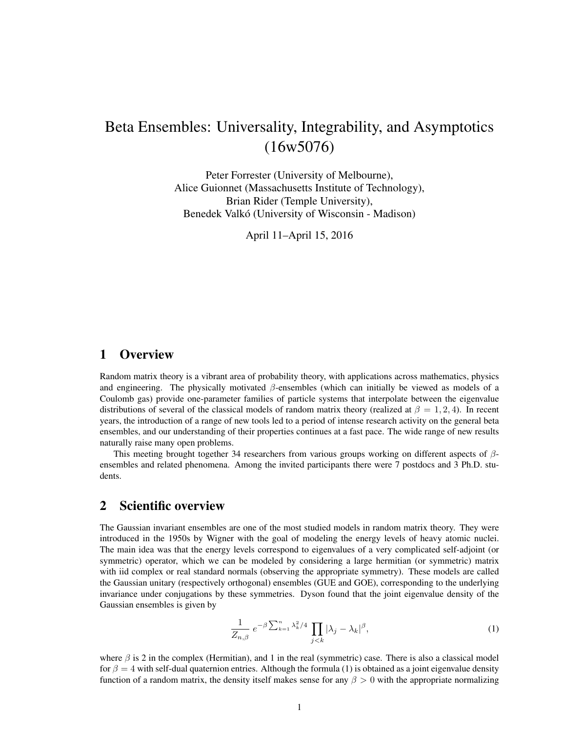# Beta Ensembles: Universality, Integrability, and Asymptotics (16w5076)

Peter Forrester (University of Melbourne), Alice Guionnet (Massachusetts Institute of Technology), Brian Rider (Temple University), Benedek Valkó (University of Wisconsin - Madison)

April 11–April 15, 2016

# 1 Overview

Random matrix theory is a vibrant area of probability theory, with applications across mathematics, physics and engineering. The physically motivated  $\beta$ -ensembles (which can initially be viewed as models of a Coulomb gas) provide one-parameter families of particle systems that interpolate between the eigenvalue distributions of several of the classical models of random matrix theory (realized at  $\beta = 1, 2, 4$ ). In recent years, the introduction of a range of new tools led to a period of intense research activity on the general beta ensembles, and our understanding of their properties continues at a fast pace. The wide range of new results naturally raise many open problems.

This meeting brought together 34 researchers from various groups working on different aspects of  $\beta$ ensembles and related phenomena. Among the invited participants there were 7 postdocs and 3 Ph.D. students.

## 2 Scientific overview

The Gaussian invariant ensembles are one of the most studied models in random matrix theory. They were introduced in the 1950s by Wigner with the goal of modeling the energy levels of heavy atomic nuclei. The main idea was that the energy levels correspond to eigenvalues of a very complicated self-adjoint (or symmetric) operator, which we can be modeled by considering a large hermitian (or symmetric) matrix with iid complex or real standard normals (observing the appropriate symmetry). These models are called the Gaussian unitary (respectively orthogonal) ensembles (GUE and GOE), corresponding to the underlying invariance under conjugations by these symmetries. Dyson found that the joint eigenvalue density of the Gaussian ensembles is given by

$$
\frac{1}{Z_{n,\beta}} e^{-\beta \sum_{k=1}^{n} \lambda_k^2/4} \prod_{j < k} |\lambda_j - \lambda_k|^\beta,\tag{1}
$$

where  $\beta$  is 2 in the complex (Hermitian), and 1 in the real (symmetric) case. There is also a classical model for  $\beta = 4$  with self-dual quaternion entries. Although the formula (1) is obtained as a joint eigenvalue density function of a random matrix, the density itself makes sense for any  $\beta > 0$  with the appropriate normalizing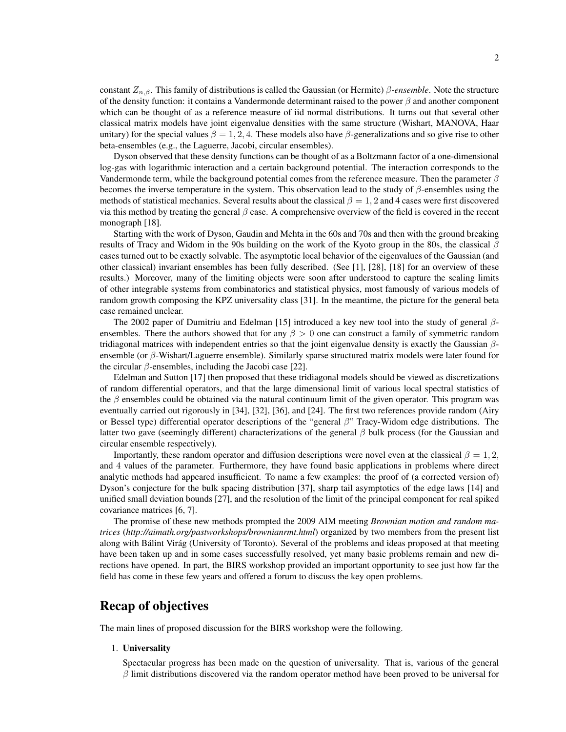constant Zn,β. This family of distributions is called the Gaussian (or Hermite) β*-ensemble*. Note the structure of the density function: it contains a Vandermonde determinant raised to the power  $\beta$  and another component which can be thought of as a reference measure of iid normal distributions. It turns out that several other classical matrix models have joint eigenvalue densities with the same structure (Wishart, MANOVA, Haar unitary) for the special values  $\beta = 1, 2, 4$ . These models also have  $\beta$ -generalizations and so give rise to other beta-ensembles (e.g., the Laguerre, Jacobi, circular ensembles).

Dyson observed that these density functions can be thought of as a Boltzmann factor of a one-dimensional log-gas with logarithmic interaction and a certain background potential. The interaction corresponds to the Vandermonde term, while the background potential comes from the reference measure. Then the parameter  $\beta$ becomes the inverse temperature in the system. This observation lead to the study of  $\beta$ -ensembles using the methods of statistical mechanics. Several results about the classical  $\beta = 1, 2$  and 4 cases were first discovered via this method by treating the general  $\beta$  case. A comprehensive overview of the field is covered in the recent monograph [18].

Starting with the work of Dyson, Gaudin and Mehta in the 60s and 70s and then with the ground breaking results of Tracy and Widom in the 90s building on the work of the Kyoto group in the 80s, the classical  $\beta$ cases turned out to be exactly solvable. The asymptotic local behavior of the eigenvalues of the Gaussian (and other classical) invariant ensembles has been fully described. (See [1], [28], [18] for an overview of these results.) Moreover, many of the limiting objects were soon after understood to capture the scaling limits of other integrable systems from combinatorics and statistical physics, most famously of various models of random growth composing the KPZ universality class [31]. In the meantime, the picture for the general beta case remained unclear.

The 2002 paper of Dumitriu and Edelman [15] introduced a key new tool into the study of general  $\beta$ ensembles. There the authors showed that for any  $\beta > 0$  one can construct a family of symmetric random tridiagonal matrices with independent entries so that the joint eigenvalue density is exactly the Gaussian  $\beta$ ensemble (or  $\beta$ -Wishart/Laguerre ensemble). Similarly sparse structured matrix models were later found for the circular  $\beta$ -ensembles, including the Jacobi case [22].

Edelman and Sutton [17] then proposed that these tridiagonal models should be viewed as discretizations of random differential operators, and that the large dimensional limit of various local spectral statistics of the  $\beta$  ensembles could be obtained via the natural continuum limit of the given operator. This program was eventually carried out rigorously in [34], [32], [36], and [24]. The first two references provide random (Airy or Bessel type) differential operator descriptions of the "general β" Tracy-Widom edge distributions. The latter two gave (seemingly different) characterizations of the general  $\beta$  bulk process (for the Gaussian and circular ensemble respectively).

Importantly, these random operator and diffusion descriptions were novel even at the classical  $\beta = 1, 2$ , and 4 values of the parameter. Furthermore, they have found basic applications in problems where direct analytic methods had appeared insufficient. To name a few examples: the proof of (a corrected version of) Dyson's conjecture for the bulk spacing distribution [37], sharp tail asymptotics of the edge laws [14] and unified small deviation bounds [27], and the resolution of the limit of the principal component for real spiked covariance matrices [6, 7].

The promise of these new methods prompted the 2009 AIM meeting *Brownian motion and random matrices* (*http://aimath.org/pastworkshops/brownianrmt.html*) organized by two members from the present list along with Bálint Virág (University of Toronto). Several of the problems and ideas proposed at that meeting have been taken up and in some cases successfully resolved, yet many basic problems remain and new directions have opened. In part, the BIRS workshop provided an important opportunity to see just how far the field has come in these few years and offered a forum to discuss the key open problems.

# Recap of objectives

The main lines of proposed discussion for the BIRS workshop were the following.

#### 1. Universality

Spectacular progress has been made on the question of universality. That is, various of the general  $\beta$  limit distributions discovered via the random operator method have been proved to be universal for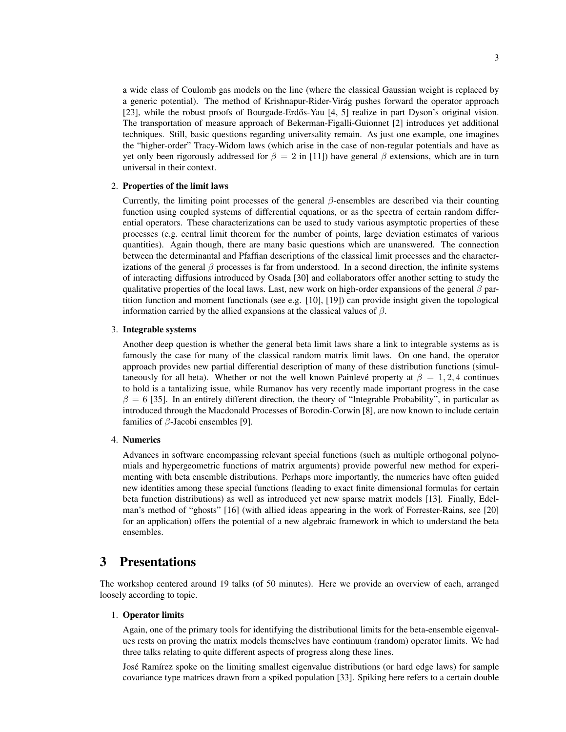a wide class of Coulomb gas models on the line (where the classical Gaussian weight is replaced by a generic potential). The method of Krishnapur-Rider-Virág pushes forward the operator approach [23], while the robust proofs of Bourgade-Erdős-Yau [4, 5] realize in part Dyson's original vision. The transportation of measure approach of Bekerman-Figalli-Guionnet [2] introduces yet additional techniques. Still, basic questions regarding universality remain. As just one example, one imagines the "higher-order" Tracy-Widom laws (which arise in the case of non-regular potentials and have as yet only been rigorously addressed for  $\beta = 2$  in [11]) have general  $\beta$  extensions, which are in turn

#### 2. Properties of the limit laws

universal in their context.

Currently, the limiting point processes of the general  $\beta$ -ensembles are described via their counting function using coupled systems of differential equations, or as the spectra of certain random differential operators. These characterizations can be used to study various asymptotic properties of these processes (e.g. central limit theorem for the number of points, large deviation estimates of various quantities). Again though, there are many basic questions which are unanswered. The connection between the determinantal and Pfaffian descriptions of the classical limit processes and the characterizations of the general  $\beta$  processes is far from understood. In a second direction, the infinite systems of interacting diffusions introduced by Osada [30] and collaborators offer another setting to study the qualitative properties of the local laws. Last, new work on high-order expansions of the general  $\beta$  partition function and moment functionals (see e.g. [10], [19]) can provide insight given the topological information carried by the allied expansions at the classical values of  $\beta$ .

#### 3. Integrable systems

Another deep question is whether the general beta limit laws share a link to integrable systems as is famously the case for many of the classical random matrix limit laws. On one hand, the operator approach provides new partial differential description of many of these distribution functions (simultaneously for all beta). Whether or not the well known Painlevé property at  $\beta = 1, 2, 4$  continues to hold is a tantalizing issue, while Rumanov has very recently made important progress in the case  $\beta = 6$  [35]. In an entirely different direction, the theory of "Integrable Probability", in particular as introduced through the Macdonald Processes of Borodin-Corwin [8], are now known to include certain families of  $\beta$ -Jacobi ensembles [9].

### 4. Numerics

Advances in software encompassing relevant special functions (such as multiple orthogonal polynomials and hypergeometric functions of matrix arguments) provide powerful new method for experimenting with beta ensemble distributions. Perhaps more importantly, the numerics have often guided new identities among these special functions (leading to exact finite dimensional formulas for certain beta function distributions) as well as introduced yet new sparse matrix models [13]. Finally, Edelman's method of "ghosts" [16] (with allied ideas appearing in the work of Forrester-Rains, see [20] for an application) offers the potential of a new algebraic framework in which to understand the beta ensembles.

## 3 Presentations

The workshop centered around 19 talks (of 50 minutes). Here we provide an overview of each, arranged loosely according to topic.

### 1. Operator limits

Again, one of the primary tools for identifying the distributional limits for the beta-ensemble eigenvalues rests on proving the matrix models themselves have continuum (random) operator limits. We had three talks relating to quite different aspects of progress along these lines.

José Ramírez spoke on the limiting smallest eigenvalue distributions (or hard edge laws) for sample covariance type matrices drawn from a spiked population [33]. Spiking here refers to a certain double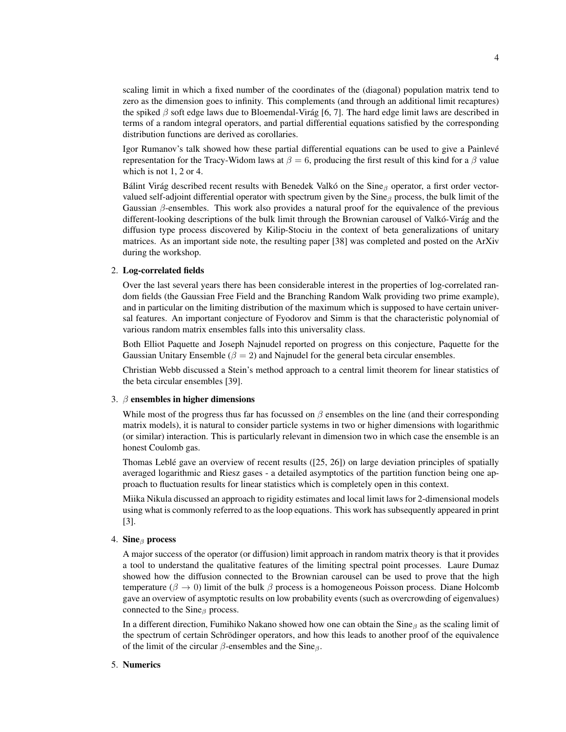scaling limit in which a fixed number of the coordinates of the (diagonal) population matrix tend to zero as the dimension goes to infinity. This complements (and through an additional limit recaptures) the spiked  $\beta$  soft edge laws due to Bloemendal-Virág [6, 7]. The hard edge limit laws are described in terms of a random integral operators, and partial differential equations satisfied by the corresponding distribution functions are derived as corollaries.

Igor Rumanov's talk showed how these partial differential equations can be used to give a Painlevé representation for the Tracy-Widom laws at  $\beta = 6$ , producing the first result of this kind for a  $\beta$  value which is not 1, 2 or 4.

Bálint Virág described recent results with Benedek Valkó on the Sine $_\beta$  operator, a first order vectorvalued self-adjoint differential operator with spectrum given by the  $Sine_\beta$  process, the bulk limit of the Gaussian  $\beta$ -ensembles. This work also provides a natural proof for the equivalence of the previous different-looking descriptions of the bulk limit through the Brownian carousel of Valkó-Virág and the diffusion type process discovered by Kilip-Stociu in the context of beta generalizations of unitary matrices. As an important side note, the resulting paper [38] was completed and posted on the ArXiv during the workshop.

#### 2. Log-correlated fields

Over the last several years there has been considerable interest in the properties of log-correlated random fields (the Gaussian Free Field and the Branching Random Walk providing two prime example), and in particular on the limiting distribution of the maximum which is supposed to have certain universal features. An important conjecture of Fyodorov and Simm is that the characteristic polynomial of various random matrix ensembles falls into this universality class.

Both Elliot Paquette and Joseph Najnudel reported on progress on this conjecture, Paquette for the Gaussian Unitary Ensemble ( $\beta = 2$ ) and Najnudel for the general beta circular ensembles.

Christian Webb discussed a Stein's method approach to a central limit theorem for linear statistics of the beta circular ensembles [39].

#### 3.  $\beta$  ensembles in higher dimensions

While most of the progress thus far has focussed on  $\beta$  ensembles on the line (and their corresponding matrix models), it is natural to consider particle systems in two or higher dimensions with logarithmic (or similar) interaction. This is particularly relevant in dimension two in which case the ensemble is an honest Coulomb gas.

Thomas Leblé gave an overview of recent results  $([25, 26])$  on large deviation principles of spatially averaged logarithmic and Riesz gases - a detailed asymptotics of the partition function being one approach to fluctuation results for linear statistics which is completely open in this context.

Miika Nikula discussed an approach to rigidity estimates and local limit laws for 2-dimensional models using what is commonly referred to as the loop equations. This work has subsequently appeared in print [3].

### 4. Sine $<sub>β</sub>$  process</sub>

A major success of the operator (or diffusion) limit approach in random matrix theory is that it provides a tool to understand the qualitative features of the limiting spectral point processes. Laure Dumaz showed how the diffusion connected to the Brownian carousel can be used to prove that the high temperature ( $\beta \to 0$ ) limit of the bulk  $\beta$  process is a homogeneous Poisson process. Diane Holcomb gave an overview of asymptotic results on low probability events (such as overcrowding of eigenvalues) connected to the Sine $_\beta$  process.

In a different direction, Fumihiko Nakano showed how one can obtain the Sine<sub>β</sub> as the scaling limit of the spectrum of certain Schrödinger operators, and how this leads to another proof of the equivalence of the limit of the circular  $\beta$ -ensembles and the Sine $\beta$ .

### 5. Numerics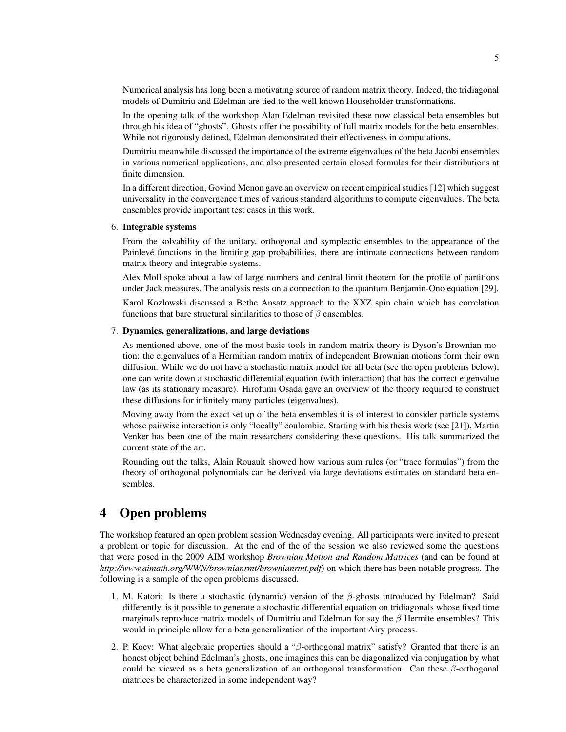Numerical analysis has long been a motivating source of random matrix theory. Indeed, the tridiagonal models of Dumitriu and Edelman are tied to the well known Householder transformations.

In the opening talk of the workshop Alan Edelman revisited these now classical beta ensembles but through his idea of "ghosts". Ghosts offer the possibility of full matrix models for the beta ensembles. While not rigorously defined, Edelman demonstrated their effectiveness in computations.

Dumitriu meanwhile discussed the importance of the extreme eigenvalues of the beta Jacobi ensembles in various numerical applications, and also presented certain closed formulas for their distributions at finite dimension.

In a different direction, Govind Menon gave an overview on recent empirical studies [12] which suggest universality in the convergence times of various standard algorithms to compute eigenvalues. The beta ensembles provide important test cases in this work.

### 6. Integrable systems

From the solvability of the unitary, orthogonal and symplectic ensembles to the appearance of the Painlevé functions in the limiting gap probabilities, there are intimate connections between random matrix theory and integrable systems.

Alex Moll spoke about a law of large numbers and central limit theorem for the profile of partitions under Jack measures. The analysis rests on a connection to the quantum Benjamin-Ono equation [29].

Karol Kozlowski discussed a Bethe Ansatz approach to the XXZ spin chain which has correlation functions that bare structural similarities to those of  $\beta$  ensembles.

### 7. Dynamics, generalizations, and large deviations

As mentioned above, one of the most basic tools in random matrix theory is Dyson's Brownian motion: the eigenvalues of a Hermitian random matrix of independent Brownian motions form their own diffusion. While we do not have a stochastic matrix model for all beta (see the open problems below), one can write down a stochastic differential equation (with interaction) that has the correct eigenvalue law (as its stationary measure). Hirofumi Osada gave an overview of the theory required to construct these diffusions for infinitely many particles (eigenvalues).

Moving away from the exact set up of the beta ensembles it is of interest to consider particle systems whose pairwise interaction is only "locally" coulombic. Starting with his thesis work (see [21]), Martin Venker has been one of the main researchers considering these questions. His talk summarized the current state of the art.

Rounding out the talks, Alain Rouault showed how various sum rules (or "trace formulas") from the theory of orthogonal polynomials can be derived via large deviations estimates on standard beta ensembles.

# 4 Open problems

The workshop featured an open problem session Wednesday evening. All participants were invited to present a problem or topic for discussion. At the end of the of the session we also reviewed some the questions that were posed in the 2009 AIM workshop *Brownian Motion and Random Matrices* (and can be found at *http://www.aimath.org/WWN/brownianrmt/brownianrmt.pdf*) on which there has been notable progress. The following is a sample of the open problems discussed.

- 1. M. Katori: Is there a stochastic (dynamic) version of the β-ghosts introduced by Edelman? Said differently, is it possible to generate a stochastic differential equation on tridiagonals whose fixed time marginals reproduce matrix models of Dumitriu and Edelman for say the  $\beta$  Hermite ensembles? This would in principle allow for a beta generalization of the important Airy process.
- 2. P. Koev: What algebraic properties should a "β-orthogonal matrix" satisfy? Granted that there is an honest object behind Edelman's ghosts, one imagines this can be diagonalized via conjugation by what could be viewed as a beta generalization of an orthogonal transformation. Can these  $\beta$ -orthogonal matrices be characterized in some independent way?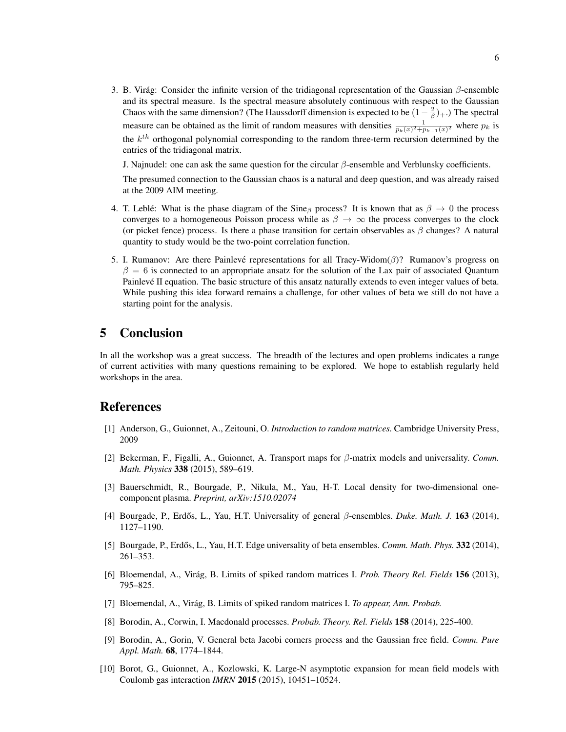3. B. Virág: Consider the infinite version of the tridiagonal representation of the Gaussian  $\beta$ -ensemble and its spectral measure. Is the spectral measure absolutely continuous with respect to the Gaussian Chaos with the same dimension? (The Haussdorff dimension is expected to be  $(1-\frac{2}{\beta})_+$ .) The spectral measure can be obtained as the limit of random measures with densities  $\frac{1}{p_k(x)^2 + p_{k-1}(x)^2}$  where  $p_k$  is the  $k^{th}$  orthogonal polynomial corresponding to the random three-term recursion determined by the entries of the tridiagonal matrix.

J. Najnudel: one can ask the same question for the circular  $\beta$ -ensemble and Verblunsky coefficients.

The presumed connection to the Gaussian chaos is a natural and deep question, and was already raised at the 2009 AIM meeting.

- 4. T. Leblé: What is the phase diagram of the Sine  $_\beta$  process? It is known that as  $\beta \to 0$  the process converges to a homogeneous Poisson process while as  $\beta \to \infty$  the process converges to the clock (or picket fence) process. Is there a phase transition for certain observables as  $\beta$  changes? A natural quantity to study would be the two-point correlation function.
- 5. I. Rumanov: Are there Painlevé representations for all Tracy-Widom( $\beta$ )? Rumanov's progress on  $\beta = 6$  is connected to an appropriate ansatz for the solution of the Lax pair of associated Quantum Painlevé II equation. The basic structure of this ansatz naturally extends to even integer values of beta. While pushing this idea forward remains a challenge, for other values of beta we still do not have a starting point for the analysis.

# 5 Conclusion

In all the workshop was a great success. The breadth of the lectures and open problems indicates a range of current activities with many questions remaining to be explored. We hope to establish regularly held workshops in the area.

# References

- [1] Anderson, G., Guionnet, A., Zeitouni, O. *Introduction to random matrices.* Cambridge University Press, 2009
- [2] Bekerman, F., Figalli, A., Guionnet, A. Transport maps for β-matrix models and universality. *Comm. Math. Physics* 338 (2015), 589–619.
- [3] Bauerschmidt, R., Bourgade, P., Nikula, M., Yau, H-T. Local density for two-dimensional onecomponent plasma. *Preprint, arXiv:1510.02074*
- [4] Bourgade, P., Erdős, L., Yau, H.T. Universality of general β-ensembles. *Duke. Math. J.* **163** (2014), 1127–1190.
- [5] Bourgade, P., Erdős, L., Yau, H.T. Edge universality of beta ensembles. *Comm. Math. Phys.* 332 (2014), 261–353.
- [6] Bloemendal, A., Virág, B. Limits of spiked random matrices I. *Prob. Theory Rel. Fields* 156 (2013), 795–825.
- [7] Bloemendal, A., Virág, B. Limits of spiked random matrices I. To appear, Ann. Probab.
- [8] Borodin, A., Corwin, I. Macdonald processes. *Probab. Theory. Rel. Fields* 158 (2014), 225-400.
- [9] Borodin, A., Gorin, V. General beta Jacobi corners process and the Gaussian free field. *Comm. Pure Appl. Math.* 68, 1774–1844.
- [10] Borot, G., Guionnet, A., Kozlowski, K. Large-N asymptotic expansion for mean field models with Coulomb gas interaction *IMRN* 2015 (2015), 10451–10524.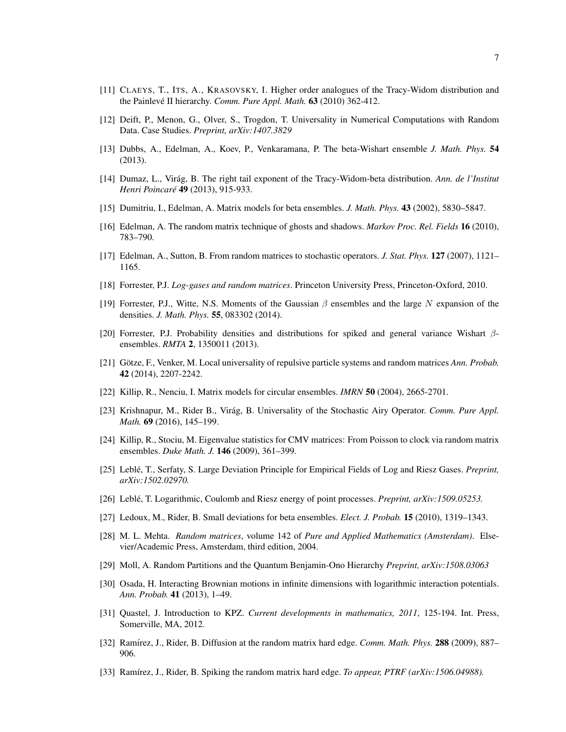- [11] CLAEYS, T., ITS, A., KRASOVSKY, I. Higher order analogues of the Tracy-Widom distribution and the Painlevé II hierarchy. *Comm. Pure Appl. Math.* 63 (2010) 362-412.
- [12] Deift, P., Menon, G., Olver, S., Trogdon, T. Universality in Numerical Computations with Random Data. Case Studies. *Preprint, arXiv:1407.3829*
- [13] Dubbs, A., Edelman, A., Koev, P., Venkaramana, P. The beta-Wishart ensemble *J. Math. Phys.* 54 (2013).
- [14] Dumaz, L., Virag, B. The right tail exponent of the Tracy-Widom-beta distribution. ´ *Ann. de l'Institut Henri Poincare´* 49 (2013), 915-933.
- [15] Dumitriu, I., Edelman, A. Matrix models for beta ensembles. *J. Math. Phys.* 43 (2002), 5830–5847.
- [16] Edelman, A. The random matrix technique of ghosts and shadows. *Markov Proc. Rel. Fields* 16 (2010), 783–790.
- [17] Edelman, A., Sutton, B. From random matrices to stochastic operators. *J. Stat. Phys.* 127 (2007), 1121– 1165.
- [18] Forrester, P.J. *Log-gases and random matrices*. Princeton University Press, Princeton-Oxford, 2010.
- [19] Forrester, P.J., Witte, N.S. Moments of the Gaussian  $\beta$  ensembles and the large N expansion of the densities. *J. Math. Phys.* 55, 083302 (2014).
- [20] Forrester, P.J. Probability densities and distributions for spiked and general variance Wishart βensembles. *RMTA* 2, 1350011 (2013).
- [21] Götze, F., Venker, M. Local universality of repulsive particle systems and random matrices *Ann. Probab.* 42 (2014), 2207-2242.
- [22] Killip, R., Nenciu, I. Matrix models for circular ensembles. *IMRN* 50 (2004), 2665-2701.
- [23] Krishnapur, M., Rider B., Virág, B. Universality of the Stochastic Airy Operator. *Comm. Pure Appl. Math.* 69 (2016), 145–199.
- [24] Killip, R., Stociu, M. Eigenvalue statistics for CMV matrices: From Poisson to clock via random matrix ensembles. *Duke Math. J.* 146 (2009), 361–399.
- [25] Leblé, T., Serfaty, S. Large Deviation Principle for Empirical Fields of Log and Riesz Gases. *Preprint*, *arXiv:1502.02970.*
- [26] Leble, T. Logarithmic, Coulomb and Riesz energy of point processes. ´ *Preprint, arXiv:1509.05253.*
- [27] Ledoux, M., Rider, B. Small deviations for beta ensembles. *Elect. J. Probab.* 15 (2010), 1319–1343.
- [28] M. L. Mehta. *Random matrices*, volume 142 of *Pure and Applied Mathematics (Amsterdam)*. Elsevier/Academic Press, Amsterdam, third edition, 2004.
- [29] Moll, A. Random Partitions and the Quantum Benjamin-Ono Hierarchy *Preprint, arXiv:1508.03063*
- [30] Osada, H. Interacting Brownian motions in infinite dimensions with logarithmic interaction potentials. *Ann. Probab.* 41 (2013), 1–49.
- [31] Quastel, J. Introduction to KPZ. *Current developments in mathematics, 2011*, 125-194. Int. Press, Somerville, MA, 2012.
- [32] Ramírez, J., Rider, B. Diffusion at the random matrix hard edge. *Comm. Math. Phys.* **288** (2009), 887– 906.
- [33] Ramírez, J., Rider, B. Spiking the random matrix hard edge. *To appear, PTRF (arXiv:1506.04988)*.